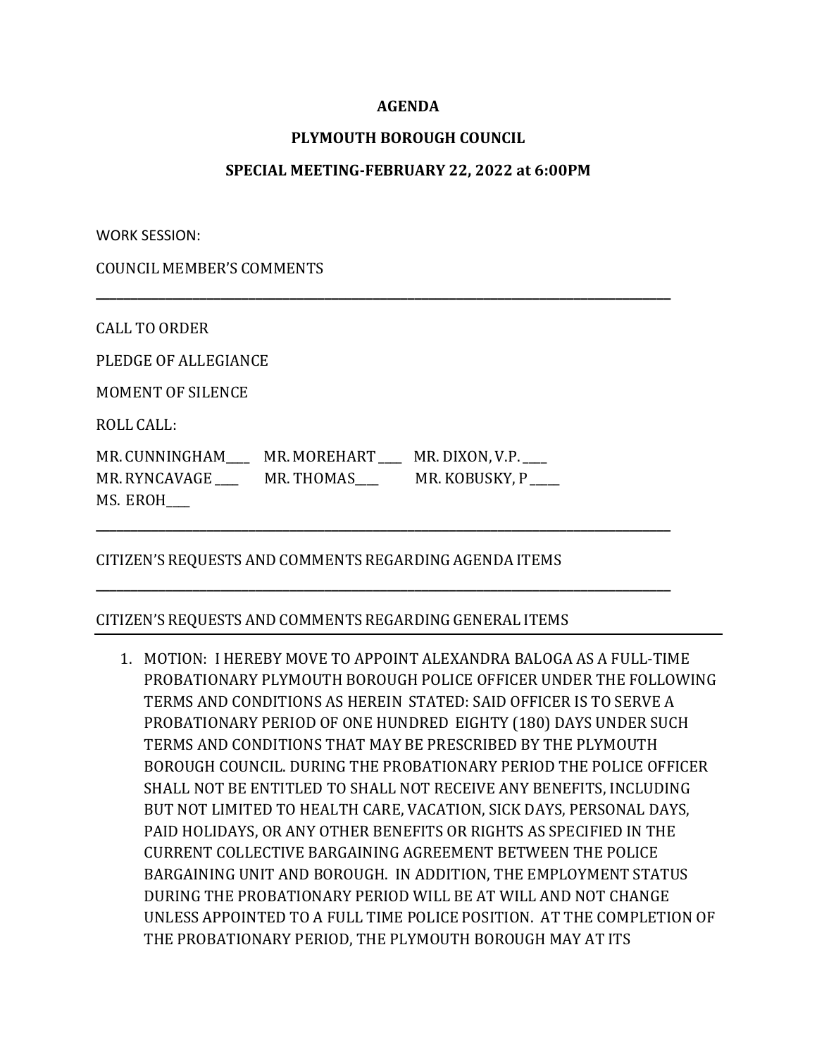### **AGENDA**

### **PLYMOUTH BOROUGH COUNCIL**

#### **SPECIAL MEETING-FEBRUARY 22, 2022 at 6:00PM**

**\_\_\_\_\_\_\_\_\_\_\_\_\_\_\_\_\_\_\_\_\_\_\_\_\_\_\_\_\_\_\_\_\_\_\_\_\_\_\_\_\_\_\_\_\_\_\_\_\_\_\_\_\_\_\_\_\_\_\_\_\_\_\_\_\_\_\_\_\_\_\_\_\_\_\_\_\_\_\_\_\_\_\_**

**\_\_\_\_\_\_\_\_\_\_\_\_\_\_\_\_\_\_\_\_\_\_\_\_\_\_\_\_\_\_\_\_\_\_\_\_\_\_\_\_\_\_\_\_\_\_\_\_\_\_\_\_\_\_\_\_\_\_\_\_\_\_\_\_\_\_\_\_\_\_\_\_\_\_\_\_\_\_\_\_\_\_\_**

**\_\_\_\_\_\_\_\_\_\_\_\_\_\_\_\_\_\_\_\_\_\_\_\_\_\_\_\_\_\_\_\_\_\_\_\_\_\_\_\_\_\_\_\_\_\_\_\_\_\_\_\_\_\_\_\_\_\_\_\_\_\_\_\_\_\_\_\_\_\_\_\_\_\_\_\_\_\_\_\_\_\_\_**

WORK SESSION:

COUNCIL MEMBER'S COMMENTS

CALL TO ORDER

PLEDGE OF ALLEGIANCE

MOMENT OF SILENCE

ROLL CALL:

MR. CUNNINGHAM\_\_\_\_\_ MR. MOREHART \_\_\_\_ MR. DIXON, V.P. \_\_\_ MR. RYNCAVAGE \_\_\_\_\_ MR. THOMAS \_\_\_\_\_ MR. KOBUSKY, P MS. EROH\_\_\_\_

# CITIZEN'S REQUESTS AND COMMENTS REGARDING AGENDA ITEMS

# CITIZEN'S REQUESTS AND COMMENTS REGARDING GENERAL ITEMS

1. MOTION: I HEREBY MOVE TO APPOINT ALEXANDRA BALOGA AS A FULL-TIME PROBATIONARY PLYMOUTH BOROUGH POLICE OFFICER UNDER THE FOLLOWING TERMS AND CONDITIONS AS HEREIN STATED: SAID OFFICER IS TO SERVE A PROBATIONARY PERIOD OF ONE HUNDRED EIGHTY (180) DAYS UNDER SUCH TERMS AND CONDITIONS THAT MAY BE PRESCRIBED BY THE PLYMOUTH BOROUGH COUNCIL. DURING THE PROBATIONARY PERIOD THE POLICE OFFICER SHALL NOT BE ENTITLED TO SHALL NOT RECEIVE ANY BENEFITS, INCLUDING BUT NOT LIMITED TO HEALTH CARE, VACATION, SICK DAYS, PERSONAL DAYS, PAID HOLIDAYS, OR ANY OTHER BENEFITS OR RIGHTS AS SPECIFIED IN THE CURRENT COLLECTIVE BARGAINING AGREEMENT BETWEEN THE POLICE BARGAINING UNIT AND BOROUGH. IN ADDITION, THE EMPLOYMENT STATUS DURING THE PROBATIONARY PERIOD WILL BE AT WILL AND NOT CHANGE UNLESS APPOINTED TO A FULL TIME POLICE POSITION. AT THE COMPLETION OF THE PROBATIONARY PERIOD, THE PLYMOUTH BOROUGH MAY AT ITS